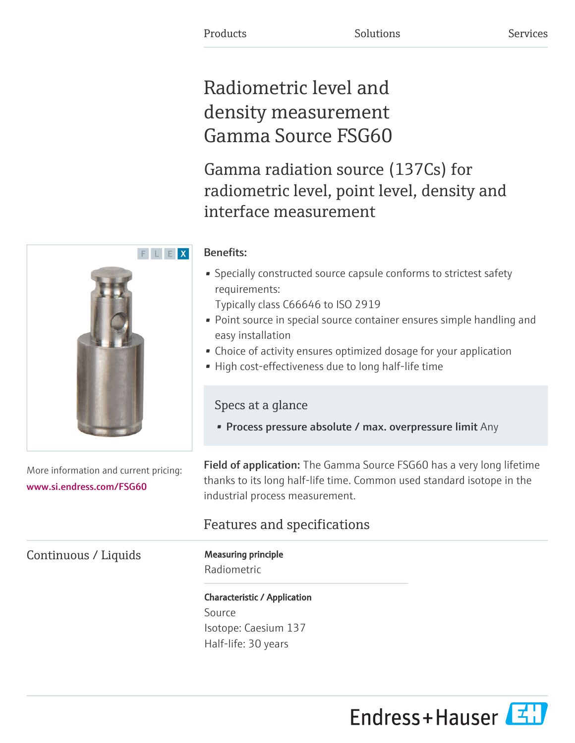# Radiometric level and density measurement Gamma Source FSG60

Gamma radiation source (137Cs) for radiometric level, point level, density and interface measurement

## Benefits:

• Specially constructed source capsule conforms to strictest safety requirements:

Typically class C66646 to ISO 2919

- Point source in special source container ensures simple handling and easy installation
- Choice of activity ensures optimized dosage for your application
- High cost-effectiveness due to long half-life time

Specs at a glance

• Process pressure absolute / max. overpressure limit Any

Field of application: The Gamma Source FSG60 has a very long lifetime thanks to its long half-life time. Common used standard isotope in the industrial process measurement.

## Features and specifications

Radiometric

Characteristic / Application Source Isotope: Caesium 137 Half-life: 30 years





More information and current pricing: [www.si.endress.com/FSG60](https://www.si.endress.com/FSG60)

Continuous / Liquids Measuring principle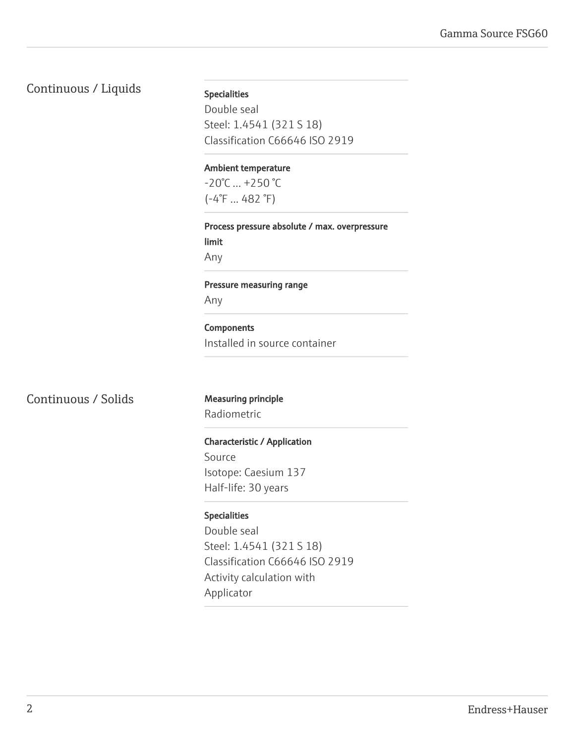## Continuous / Liquids Specialities

Double seal Steel: 1.4541 (321 S 18) Classification C66646 ISO 2919

#### Ambient temperature

 $-20^{\circ}$ C  $... +250^{\circ}$ C (-4°F ... 482 °F)

Process pressure absolute / max. overpressure limit Any

Pressure measuring range

Any

#### **Components** Installed in source container

Continuous / Solids Measuring principle

Radiometric

#### Characteristic / Application

Source Isotope: Caesium 137 Half-life: 30 years

#### Specialities

Double seal Steel: 1.4541 (321 S 18) Classification C66646 ISO 2919 Activity calculation with Applicator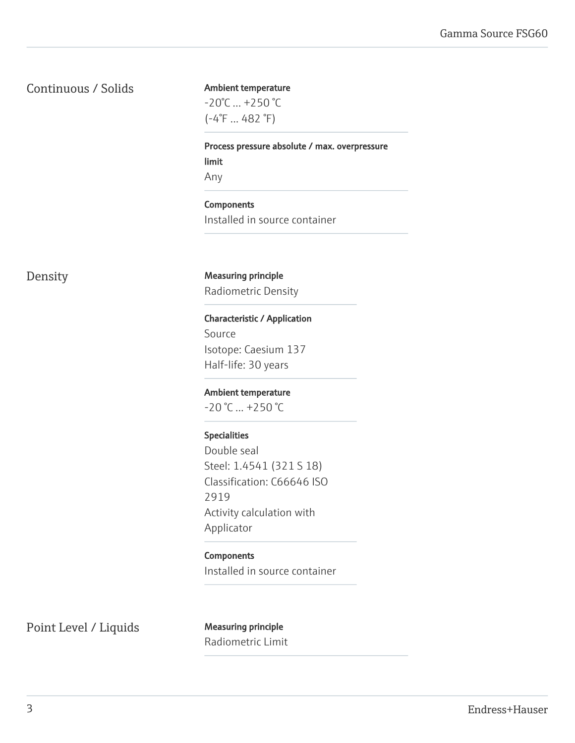### Continuous / Solids

#### Ambient temperature

 $-20^{\circ}$ C ...  $+250^{\circ}$ C (-4°F ... 482 °F)

Process pressure absolute / max. overpressure limit Any

Components Installed in source container

Density Measuring principle Radiometric Density

> Characteristic / Application Source Isotope: Caesium 137

Half-life: 30 years

Ambient temperature

 $-20$  °C  $... +250$  °C

#### Specialities

Double seal Steel: 1.4541 (321 S 18) Classification: C66646 ISO 2919 Activity calculation with Applicator

#### Components

Installed in source container

Point Level / Liquids Measuring principle

Radiometric Limit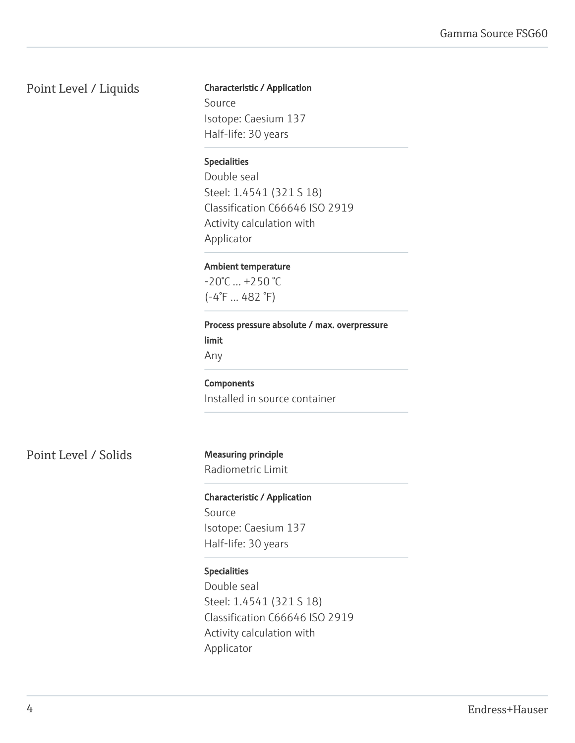### Point Level / Liquids

### Characteristic / Application

Source Isotope: Caesium 137 Half-life: 30 years

#### Specialities

Double seal Steel: 1.4541 (321 S 18) Classification C66646 ISO 2919 Activity calculation with Applicator

#### Ambient temperature

 $-20^{\circ}$ C  $...$  +250  $^{\circ}$ C (-4°F ... 482 °F)

#### Process pressure absolute / max. overpressure limit

Any

## **Components**

Installed in source container

Point Level / Solids Measuring principle

Radiometric Limit

Characteristic / Application Source Isotope: Caesium 137 Half-life: 30 years

#### Specialities

Double seal Steel: 1.4541 (321 S 18) Classification C66646 ISO 2919 Activity calculation with Applicator